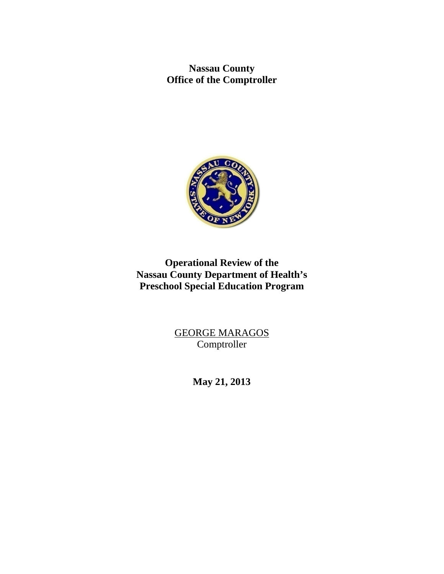**Nassau County Office of the Comptroller** 



# **Operational Review of the Nassau County Department of Health's Preschool Special Education Program**

GEORGE MARAGOS Comptroller

**May 21, 2013**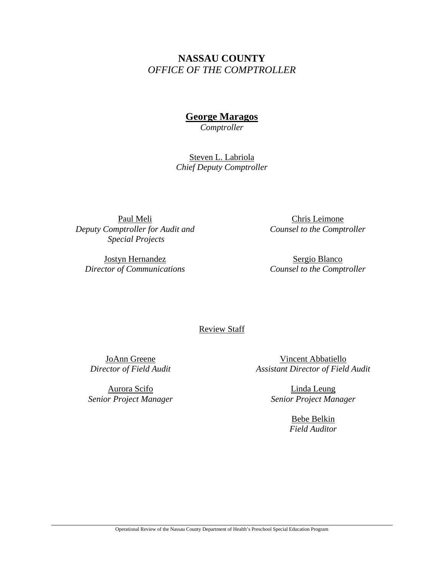# **NASSAU COUNTY**  *OFFICE OF THE COMPTROLLER*

## **George Maragos**

*Comptroller* 

Steven L. Labriola *Chief Deputy Comptroller* 

Paul Meli *Deputy Comptroller for Audit and Special Projects* 

Jostyn Hernandez *Director of Communications* 

Chris Leimone *Counsel to the Comptroller* 

Sergio Blanco *Counsel to the Comptroller*

Review Staff

JoAnn Greene *Director of Field Audit* 

Aurora Scifo *Senior Project Manager*

Vincent Abbatiello *Assistant Director of Field Audit* 

> Linda Leung *Senior Project Manager*

> > Bebe Belkin *Field Auditor*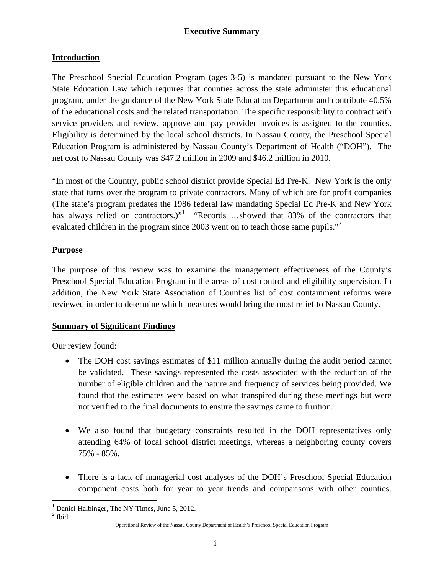## **Introduction**

The Preschool Special Education Program (ages 3-5) is mandated pursuant to the New York State Education Law which requires that counties across the state administer this educational program, under the guidance of the New York State Education Department and contribute 40.5% of the educational costs and the related transportation. The specific responsibility to contract with service providers and review, approve and pay provider invoices is assigned to the counties. Eligibility is determined by the local school districts. In Nassau County, the Preschool Special Education Program is administered by Nassau County's Department of Health ("DOH"). The net cost to Nassau County was \$47.2 million in 2009 and \$46.2 million in 2010.

"In most of the Country, public school district provide Special Ed Pre-K. New York is the only state that turns over the program to private contractors, Many of which are for profit companies (The state's program predates the 1986 federal law mandating Special Ed Pre-K and New York has always relied on contractors.)<sup>"</sup> "Records ...showed that 83% of the contractors that evaluated children in the program since 2003 went on to teach those same pupils."<sup>2</sup>

## **Purpose**

The purpose of this review was to examine the management effectiveness of the County's Preschool Special Education Program in the areas of cost control and eligibility supervision. In addition, the New York State Association of Counties list of cost containment reforms were reviewed in order to determine which measures would bring the most relief to Nassau County.

## **Summary of Significant Findings**

Our review found:

- The DOH cost savings estimates of \$11 million annually during the audit period cannot be validated. These savings represented the costs associated with the reduction of the number of eligible children and the nature and frequency of services being provided. We found that the estimates were based on what transpired during these meetings but were not verified to the final documents to ensure the savings came to fruition.
- We also found that budgetary constraints resulted in the DOH representatives only attending 64% of local school district meetings, whereas a neighboring county covers 75% - 85%.
- There is a lack of managerial cost analyses of the DOH's Preschool Special Education component costs both for year to year trends and comparisons with other counties.

 $<sup>2</sup>$  Ibid.</sup>

<sup>1</sup> <sup>1</sup> Daniel Halbinger, The NY Times, June 5, 2012.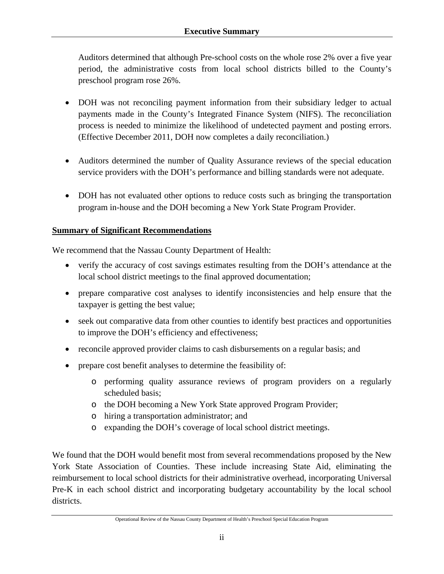Auditors determined that although Pre-school costs on the whole rose 2% over a five year period, the administrative costs from local school districts billed to the County's preschool program rose 26%.

- DOH was not reconciling payment information from their subsidiary ledger to actual payments made in the County's Integrated Finance System (NIFS). The reconciliation process is needed to minimize the likelihood of undetected payment and posting errors. (Effective December 2011, DOH now completes a daily reconciliation.)
- Auditors determined the number of Quality Assurance reviews of the special education service providers with the DOH's performance and billing standards were not adequate.
- DOH has not evaluated other options to reduce costs such as bringing the transportation program in-house and the DOH becoming a New York State Program Provider.

## **Summary of Significant Recommendations**

We recommend that the Nassau County Department of Health:

- verify the accuracy of cost savings estimates resulting from the DOH's attendance at the local school district meetings to the final approved documentation;
- prepare comparative cost analyses to identify inconsistencies and help ensure that the taxpayer is getting the best value;
- seek out comparative data from other counties to identify best practices and opportunities to improve the DOH's efficiency and effectiveness;
- reconcile approved provider claims to cash disbursements on a regular basis; and
- prepare cost benefit analyses to determine the feasibility of:
	- o performing quality assurance reviews of program providers on a regularly scheduled basis;
	- o the DOH becoming a New York State approved Program Provider;
	- o hiring a transportation administrator; and
	- o expanding the DOH's coverage of local school district meetings.

We found that the DOH would benefit most from several recommendations proposed by the New York State Association of Counties. These include increasing State Aid, eliminating the reimbursement to local school districts for their administrative overhead, incorporating Universal Pre-K in each school district and incorporating budgetary accountability by the local school districts.

Operational Review of the Nassau County Department of Health's Preschool Special Education Program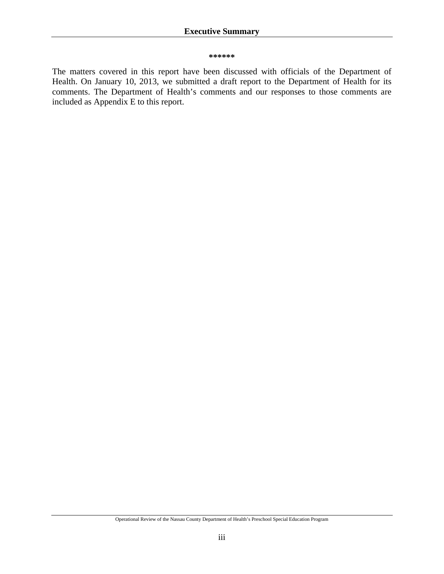#### **\*\*\*\*\*\***

The matters covered in this report have been discussed with officials of the Department of Health. On January 10, 2013, we submitted a draft report to the Department of Health for its comments. The Department of Health's comments and our responses to those comments are included as Appendix E to this report.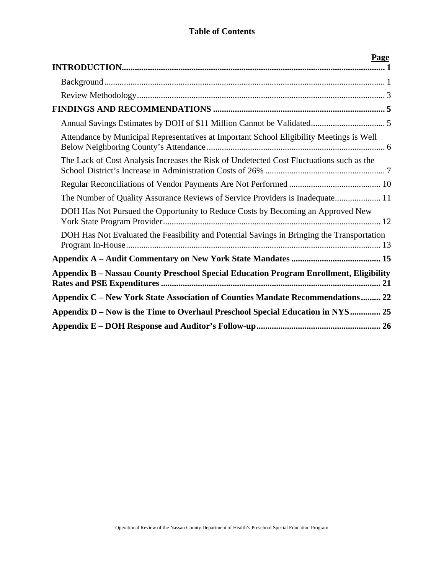| Page                                                                                       |
|--------------------------------------------------------------------------------------------|
|                                                                                            |
|                                                                                            |
|                                                                                            |
|                                                                                            |
| Attendance by Municipal Representatives at Important School Eligibility Meetings is Well   |
| The Lack of Cost Analysis Increases the Risk of Undetected Cost Fluctuations such as the   |
|                                                                                            |
| The Number of Quality Assurance Reviews of Service Providers is Inadequate 11              |
| DOH Has Not Pursued the Opportunity to Reduce Costs by Becoming an Approved New            |
| DOH Has Not Evaluated the Feasibility and Potential Savings in Bringing the Transportation |
|                                                                                            |
| Appendix B - Nassau County Preschool Special Education Program Enrollment, Eligibility     |
| Appendix C – New York State Association of Counties Mandate Recommendations 22             |
| Appendix D – Now is the Time to Overhaul Preschool Special Education in NYS 25             |
|                                                                                            |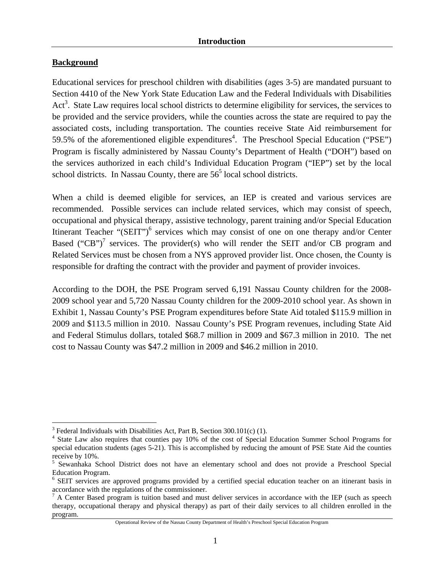## **Background**

 $\overline{a}$ 

Educational services for preschool children with disabilities (ages 3-5) are mandated pursuant to Section 4410 of the New York State Education Law and the Federal Individuals with Disabilities Act<sup>3</sup>. State Law requires local school districts to determine eligibility for services, the services to be provided and the service providers, while the counties across the state are required to pay the associated costs, including transportation. The counties receive State Aid reimbursement for 59.5% of the aforementioned eligible expenditures<sup>4</sup>. The Preschool Special Education ("PSE") Program is fiscally administered by Nassau County's Department of Health ("DOH") based on the services authorized in each child's Individual Education Program ("IEP") set by the local school districts. In Nassau County, there are  $56<sup>5</sup>$  local school districts.

When a child is deemed eligible for services, an IEP is created and various services are recommended. Possible services can include related services, which may consist of speech, occupational and physical therapy, assistive technology, parent training and/or Special Education Itinerant Teacher " $(SEIT")^6$  services which may consist of one on one therapy and/or Center Based ("CB")<sup>7</sup> services. The provider(s) who will render the SEIT and/or CB program and Related Services must be chosen from a NYS approved provider list. Once chosen, the County is responsible for drafting the contract with the provider and payment of provider invoices.

According to the DOH, the PSE Program served 6,191 Nassau County children for the 2008- 2009 school year and 5,720 Nassau County children for the 2009-2010 school year. As shown in Exhibit 1, Nassau County's PSE Program expenditures before State Aid totaled \$115.9 million in 2009 and \$113.5 million in 2010. Nassau County's PSE Program revenues, including State Aid and Federal Stimulus dollars, totaled \$68.7 million in 2009 and \$67.3 million in 2010. The net cost to Nassau County was \$47.2 million in 2009 and \$46.2 million in 2010.

 $3$  Federal Individuals with Disabilities Act, Part B, Section 300.101(c) (1).

<sup>&</sup>lt;sup>4</sup> State Law also requires that counties pay 10% of the cost of Special Education Summer School Programs for special education students (ages 5-21). This is accomplished by reducing the amount of PSE State Aid the counties receive by 10%.

<sup>&</sup>lt;sup>5</sup> Sewanhaka School District does not have an elementary school and does not provide a Preschool Special Education Program.

<sup>&</sup>lt;sup>6</sup> SEIT services are approved programs provided by a certified special education teacher on an itinerant basis in accordance with the regulations of the commissioner.

 $<sup>7</sup>$  A Center Based program is tuition based and must deliver services in accordance with the IEP (such as speech</sup> therapy, occupational therapy and physical therapy) as part of their daily services to all children enrolled in the program.

Operational Review of the Nassau County Department of Health's Preschool Special Education Program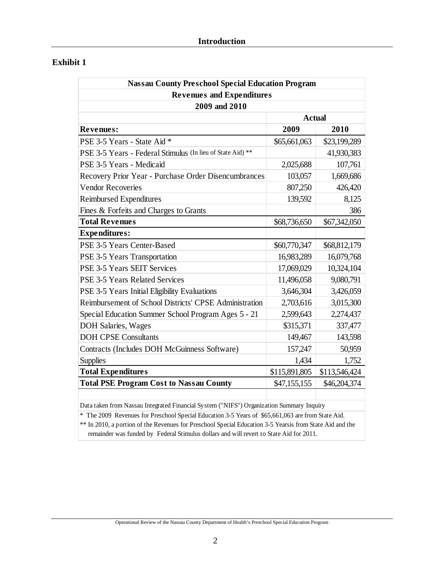## **Exhibit 1**

| <b>Nassau County Preschool Special Education Program</b>                                 |               |               |  |  |  |  |  |  |  |
|------------------------------------------------------------------------------------------|---------------|---------------|--|--|--|--|--|--|--|
| <b>Revenues and Expenditures</b>                                                         |               |               |  |  |  |  |  |  |  |
| 2009 and 2010                                                                            |               |               |  |  |  |  |  |  |  |
| <b>Actual</b>                                                                            |               |               |  |  |  |  |  |  |  |
| Revenues:                                                                                | 2009          | 2010          |  |  |  |  |  |  |  |
| PSE 3-5 Years - State Aid *                                                              | \$65,661,063  | \$23,199,289  |  |  |  |  |  |  |  |
| PSE 3-5 Years - Federal Stimulus (In lieu of State Aid) **                               |               | 41,930,383    |  |  |  |  |  |  |  |
| PSE 3-5 Years - Medicaid                                                                 | 2,025,688     | 107,761       |  |  |  |  |  |  |  |
| Recovery Prior Year - Purchase Order Disencumbrances                                     | 103,057       | 1,669,686     |  |  |  |  |  |  |  |
| <b>Vendor Recoveries</b>                                                                 | 807,250       | 426,420       |  |  |  |  |  |  |  |
| Reimbursed Expenditures                                                                  | 139,592       | 8,125         |  |  |  |  |  |  |  |
| Fines & Forfeits and Charges to Grants                                                   |               | 386           |  |  |  |  |  |  |  |
| <b>Total Revenues</b>                                                                    | \$68,736,650  | \$67,342,050  |  |  |  |  |  |  |  |
| <b>Expenditures:</b>                                                                     |               |               |  |  |  |  |  |  |  |
| PSE 3-5 Years Center-Based                                                               | \$60,770,347  | \$68,812,179  |  |  |  |  |  |  |  |
| PSE 3-5 Years Transportation                                                             | 16,983,289    | 16,079,768    |  |  |  |  |  |  |  |
| PSE 3-5 Years SEIT Services                                                              | 17,069,029    | 10,324,104    |  |  |  |  |  |  |  |
| <b>PSE 3-5 Years Related Services</b>                                                    | 11,496,058    | 9,080,791     |  |  |  |  |  |  |  |
| PSE 3-5 Years Initial Eligibility Evaluations                                            | 3,646,304     | 3,426,059     |  |  |  |  |  |  |  |
| Reimbursement of School Districts' CPSE Administration                                   | 2,703,616     | 3,015,300     |  |  |  |  |  |  |  |
| Special Education Summer School Program Ages 5 - 21                                      | 2,599,643     | 2,274,437     |  |  |  |  |  |  |  |
| DOH Salaries, Wages                                                                      | \$315,371     | 337,477       |  |  |  |  |  |  |  |
| <b>DOH CPSE Consultants</b>                                                              | 149,467       | 143,598       |  |  |  |  |  |  |  |
| Contracts (Includes DOH McGuinness Software)                                             | 157,247       | 50,959        |  |  |  |  |  |  |  |
| <b>Supplies</b>                                                                          | 1,434         | 1,752         |  |  |  |  |  |  |  |
| <b>Total Expenditures</b>                                                                | \$115,891,805 | \$113,546,424 |  |  |  |  |  |  |  |
| <b>Total PSE Program Cost to Nassau County</b>                                           | \$47,155,155  | \$46,204,374  |  |  |  |  |  |  |  |
|                                                                                          |               |               |  |  |  |  |  |  |  |
| Data taken from Nassau Integrated Financial System ("NIFS") Organization Summary Inquiry |               |               |  |  |  |  |  |  |  |

\* The 2009 Revenues for Preschool Special Education 3-5 Years of \$65,661,063 are from State Aid.

\*\* In 2010, a portion of the Revenues for Preschool Special Education 3-5 Yearsis from State Aid and the remainder was funded by Federal Stimulus dollars and will revert to State Aid for 2011.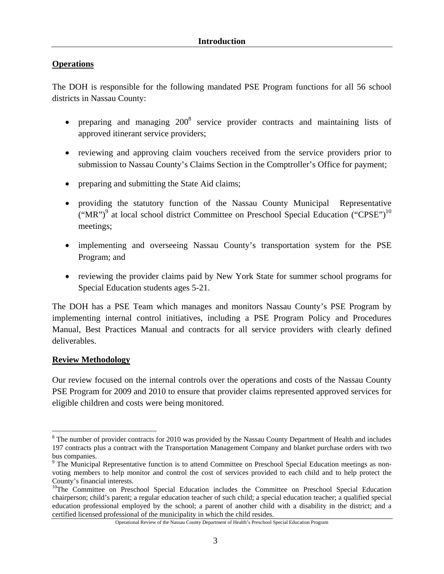## **Operations**

The DOH is responsible for the following mandated PSE Program functions for all 56 school districts in Nassau County:

- preparing and managing  $200^8$  service provider contracts and maintaining lists of approved itinerant service providers;
- reviewing and approving claim vouchers received from the service providers prior to submission to Nassau County's Claims Section in the Comptroller's Office for payment;
- preparing and submitting the State Aid claims;
- providing the statutory function of the Nassau County Municipal Representative ("MR")<sup>9</sup> at local school district Committee on Preschool Special Education ("CPSE")<sup>10</sup> meetings;
- implementing and overseeing Nassau County's transportation system for the PSE Program; and
- reviewing the provider claims paid by New York State for summer school programs for Special Education students ages 5-21.

The DOH has a PSE Team which manages and monitors Nassau County's PSE Program by implementing internal control initiatives, including a PSE Program Policy and Procedures Manual, Best Practices Manual and contracts for all service providers with clearly defined deliverables.

#### **Review Methodology**

 $\overline{a}$ 

Our review focused on the internal controls over the operations and costs of the Nassau County PSE Program for 2009 and 2010 to ensure that provider claims represented approved services for eligible children and costs were being monitored.

 $8$  The number of provider contracts for 2010 was provided by the Nassau County Department of Health and includes 197 contracts plus a contract with the Transportation Management Company and blanket purchase orders with two bus companies.

<sup>&</sup>lt;sup>9</sup> The Municipal Representative function is to attend Committee on Preschool Special Education meetings as nonvoting members to help monitor and control the cost of services provided to each child and to help protect the County's financial interests.

<sup>&</sup>lt;sup>10</sup>The Committee on Preschool Special Education includes the Committee on Preschool Special Education chairperson; child's parent; a regular education teacher of such child; a special education teacher; a qualified special education professional employed by the school; a parent of another child with a disability in the district; and a certified licensed professional of the municipality in which the child resides.

Operational Review of the Nassau County Department of Health's Preschool Special Education Program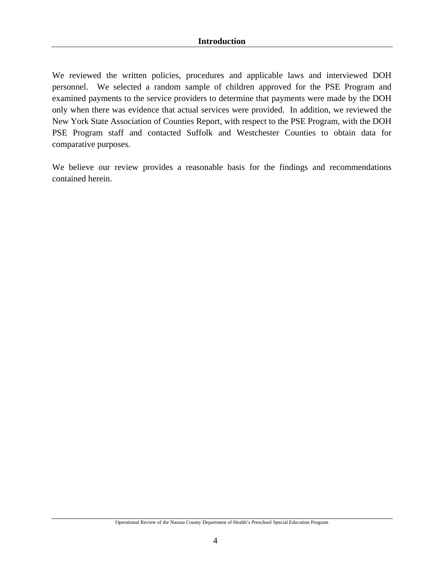We reviewed the written policies, procedures and applicable laws and interviewed DOH personnel. We selected a random sample of children approved for the PSE Program and examined payments to the service providers to determine that payments were made by the DOH only when there was evidence that actual services were provided. In addition, we reviewed the New York State Association of Counties Report, with respect to the PSE Program, with the DOH PSE Program staff and contacted Suffolk and Westchester Counties to obtain data for comparative purposes.

We believe our review provides a reasonable basis for the findings and recommendations contained herein.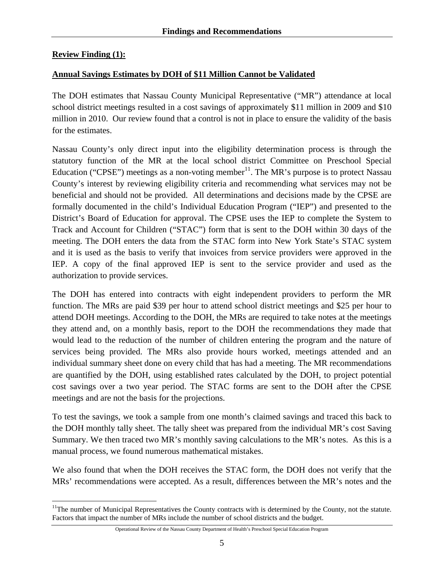## **Review Finding (1):**

 $\overline{a}$ 

## **Annual Savings Estimates by DOH of \$11 Million Cannot be Validated**

The DOH estimates that Nassau County Municipal Representative ("MR") attendance at local school district meetings resulted in a cost savings of approximately \$11 million in 2009 and \$10 million in 2010. Our review found that a control is not in place to ensure the validity of the basis for the estimates.

Nassau County's only direct input into the eligibility determination process is through the statutory function of the MR at the local school district Committee on Preschool Special Education ("CPSE") meetings as a non-voting member<sup>11</sup>. The MR's purpose is to protect Nassau County's interest by reviewing eligibility criteria and recommending what services may not be beneficial and should not be provided. All determinations and decisions made by the CPSE are formally documented in the child's Individual Education Program ("IEP") and presented to the District's Board of Education for approval. The CPSE uses the IEP to complete the System to Track and Account for Children ("STAC") form that is sent to the DOH within 30 days of the meeting. The DOH enters the data from the STAC form into New York State's STAC system and it is used as the basis to verify that invoices from service providers were approved in the IEP. A copy of the final approved IEP is sent to the service provider and used as the authorization to provide services.

The DOH has entered into contracts with eight independent providers to perform the MR function. The MRs are paid \$39 per hour to attend school district meetings and \$25 per hour to attend DOH meetings. According to the DOH, the MRs are required to take notes at the meetings they attend and, on a monthly basis, report to the DOH the recommendations they made that would lead to the reduction of the number of children entering the program and the nature of services being provided. The MRs also provide hours worked, meetings attended and an individual summary sheet done on every child that has had a meeting. The MR recommendations are quantified by the DOH, using established rates calculated by the DOH, to project potential cost savings over a two year period. The STAC forms are sent to the DOH after the CPSE meetings and are not the basis for the projections.

To test the savings, we took a sample from one month's claimed savings and traced this back to the DOH monthly tally sheet. The tally sheet was prepared from the individual MR's cost Saving Summary. We then traced two MR's monthly saving calculations to the MR's notes. As this is a manual process, we found numerous mathematical mistakes.

We also found that when the DOH receives the STAC form, the DOH does not verify that the MRs' recommendations were accepted. As a result, differences between the MR's notes and the

Operational Review of the Nassau County Department of Health's Preschool Special Education Program

<sup>&</sup>lt;sup>11</sup>The number of Municipal Representatives the County contracts with is determined by the County, not the statute. Factors that impact the number of MRs include the number of school districts and the budget.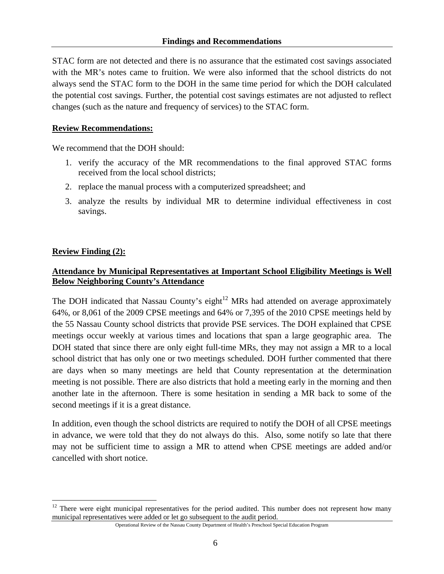STAC form are not detected and there is no assurance that the estimated cost savings associated with the MR's notes came to fruition. We were also informed that the school districts do not always send the STAC form to the DOH in the same time period for which the DOH calculated the potential cost savings. Further, the potential cost savings estimates are not adjusted to reflect changes (such as the nature and frequency of services) to the STAC form.

#### **Review Recommendations:**

We recommend that the DOH should:

- 1. verify the accuracy of the MR recommendations to the final approved STAC forms received from the local school districts;
- 2. replace the manual process with a computerized spreadsheet; and
- 3. analyze the results by individual MR to determine individual effectiveness in cost savings.

## **Review Finding (2):**

## **Attendance by Municipal Representatives at Important School Eligibility Meetings is Well Below Neighboring County's Attendance**

The DOH indicated that Nassau County's eight $12$  MRs had attended on average approximately 64%, or 8,061 of the 2009 CPSE meetings and 64% or 7,395 of the 2010 CPSE meetings held by the 55 Nassau County school districts that provide PSE services. The DOH explained that CPSE meetings occur weekly at various times and locations that span a large geographic area. The DOH stated that since there are only eight full-time MRs, they may not assign a MR to a local school district that has only one or two meetings scheduled. DOH further commented that there are days when so many meetings are held that County representation at the determination meeting is not possible. There are also districts that hold a meeting early in the morning and then another late in the afternoon. There is some hesitation in sending a MR back to some of the second meetings if it is a great distance.

In addition, even though the school districts are required to notify the DOH of all CPSE meetings in advance, we were told that they do not always do this. Also, some notify so late that there may not be sufficient time to assign a MR to attend when CPSE meetings are added and/or cancelled with short notice.

 $\overline{a}$ <sup>12</sup> There were eight municipal representatives for the period audited. This number does not represent how many municipal representatives were added or let go subsequent to the audit period.

Operational Review of the Nassau County Department of Health's Preschool Special Education Program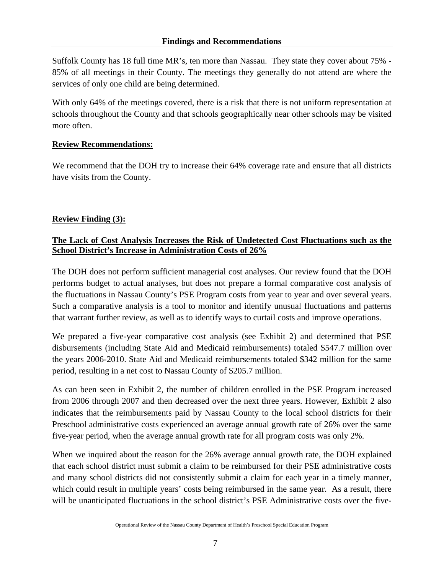Suffolk County has 18 full time MR's, ten more than Nassau. They state they cover about 75% - 85% of all meetings in their County. The meetings they generally do not attend are where the services of only one child are being determined.

With only 64% of the meetings covered, there is a risk that there is not uniform representation at schools throughout the County and that schools geographically near other schools may be visited more often.

#### **Review Recommendations:**

We recommend that the DOH try to increase their 64% coverage rate and ensure that all districts have visits from the County.

## **Review Finding (3):**

## **The Lack of Cost Analysis Increases the Risk of Undetected Cost Fluctuations such as the School District's Increase in Administration Costs of 26%**

The DOH does not perform sufficient managerial cost analyses. Our review found that the DOH performs budget to actual analyses, but does not prepare a formal comparative cost analysis of the fluctuations in Nassau County's PSE Program costs from year to year and over several years. Such a comparative analysis is a tool to monitor and identify unusual fluctuations and patterns that warrant further review, as well as to identify ways to curtail costs and improve operations.

We prepared a five-year comparative cost analysis (see Exhibit 2) and determined that PSE disbursements (including State Aid and Medicaid reimbursements) totaled \$547.7 million over the years 2006-2010. State Aid and Medicaid reimbursements totaled \$342 million for the same period, resulting in a net cost to Nassau County of \$205.7 million.

As can been seen in Exhibit 2, the number of children enrolled in the PSE Program increased from 2006 through 2007 and then decreased over the next three years. However, Exhibit 2 also indicates that the reimbursements paid by Nassau County to the local school districts for their Preschool administrative costs experienced an average annual growth rate of 26% over the same five-year period, when the average annual growth rate for all program costs was only 2%.

When we inquired about the reason for the 26% average annual growth rate, the DOH explained that each school district must submit a claim to be reimbursed for their PSE administrative costs and many school districts did not consistently submit a claim for each year in a timely manner, which could result in multiple years' costs being reimbursed in the same year. As a result, there will be unanticipated fluctuations in the school district's PSE Administrative costs over the five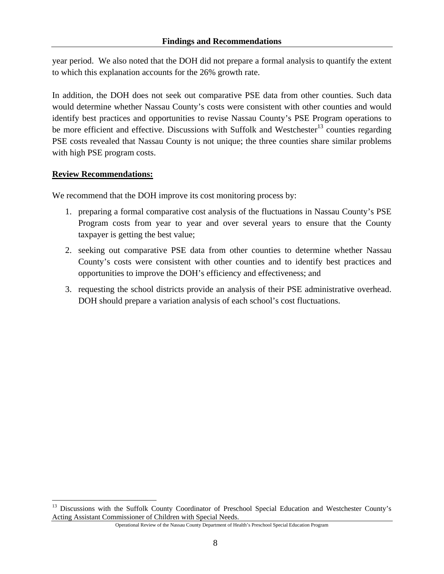year period. We also noted that the DOH did not prepare a formal analysis to quantify the extent to which this explanation accounts for the 26% growth rate.

In addition, the DOH does not seek out comparative PSE data from other counties. Such data would determine whether Nassau County's costs were consistent with other counties and would identify best practices and opportunities to revise Nassau County's PSE Program operations to be more efficient and effective. Discussions with Suffolk and Westchester<sup>13</sup> counties regarding PSE costs revealed that Nassau County is not unique; the three counties share similar problems with high PSE program costs.

#### **Review Recommendations:**

 $\overline{a}$ 

We recommend that the DOH improve its cost monitoring process by:

- 1. preparing a formal comparative cost analysis of the fluctuations in Nassau County's PSE Program costs from year to year and over several years to ensure that the County taxpayer is getting the best value;
- 2. seeking out comparative PSE data from other counties to determine whether Nassau County's costs were consistent with other counties and to identify best practices and opportunities to improve the DOH's efficiency and effectiveness; and
- 3. requesting the school districts provide an analysis of their PSE administrative overhead. DOH should prepare a variation analysis of each school's cost fluctuations.

<sup>&</sup>lt;sup>13</sup> Discussions with the Suffolk County Coordinator of Preschool Special Education and Westchester County's Acting Assistant Commissioner of Children with Special Needs.

Operational Review of the Nassau County Department of Health's Preschool Special Education Program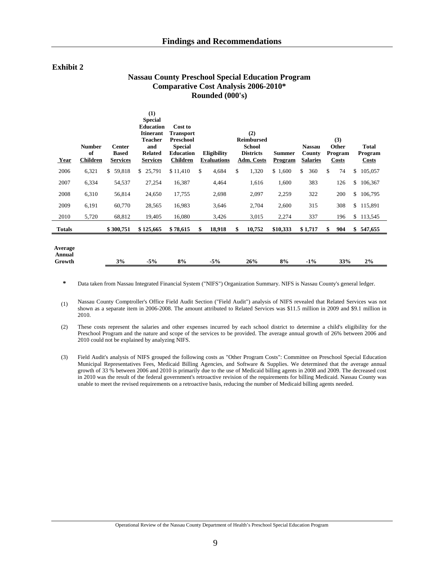#### **Exhibit 2**

#### **Nassau County Preschool Special Education Program Comparative Cost Analysis 2006-2010\* Rounded (000's)**

| Year                        | <b>Number</b><br>of<br><b>Children</b> | <b>Center</b><br><b>Based</b><br><b>Services</b> | (1)<br><b>Special</b><br><b>Education</b><br><b>Itinerant</b><br><b>Teacher</b><br>and<br><b>Related</b><br><b>Services</b> | Cost to<br><b>Transport</b><br>Preschool<br><b>Special</b><br><b>Education</b><br><b>Children</b> |     | Eligibility<br><b>Evaluations</b> | (2)<br><b>Reimbursed</b><br><b>School</b><br><b>Districts</b><br><b>Adm. Costs</b> | <b>Summer</b><br><b>Program</b> | <b>Nassau</b><br>County<br><b>Salaries</b> | (3)<br>Other<br>Program<br><b>Costs</b> | Total<br>Program<br><b>Costs</b> |
|-----------------------------|----------------------------------------|--------------------------------------------------|-----------------------------------------------------------------------------------------------------------------------------|---------------------------------------------------------------------------------------------------|-----|-----------------------------------|------------------------------------------------------------------------------------|---------------------------------|--------------------------------------------|-----------------------------------------|----------------------------------|
| 2006                        | 6,321                                  | \$59,818                                         | 25,791<br>\$                                                                                                                | \$11,410                                                                                          | \$  | 4,684                             | \$<br>1,320                                                                        | \$1,600                         | \$<br>360                                  | \$<br>74                                | \$<br>105,057                    |
| 2007                        | 6,334                                  | 54,537                                           | 27,254                                                                                                                      | 16,387                                                                                            |     | 4,464                             | 1,616                                                                              | 1,600                           | 383                                        | 126                                     | \$<br>106,367                    |
| 2008                        | 6,310                                  | 56,814                                           | 24,650                                                                                                                      | 17,755                                                                                            |     | 2,698                             | 2,097                                                                              | 2,259                           | 322                                        | 200                                     | \$<br>106,795                    |
| 2009                        | 6,191                                  | 60,770                                           | 28,565                                                                                                                      | 16,983                                                                                            |     | 3,646                             | 2,704                                                                              | 2,600                           | 315                                        | 308                                     | \$115,891                        |
| 2010                        | 5,720                                  | 68,812                                           | 19,405                                                                                                                      | 16,080                                                                                            |     | 3,426                             | 3,015                                                                              | 2,274                           | 337                                        | 196                                     | \$113,545                        |
| Totals                      |                                        | \$300,751                                        | \$125,665                                                                                                                   | \$78,615                                                                                          | \$. | 18,918                            | \$<br>10,752                                                                       | \$10,333                        | \$1,717                                    | \$<br>904                               | \$547,655                        |
| Average<br>Annual<br>Growth |                                        | 3%                                               | $-5%$                                                                                                                       | 8%                                                                                                |     | $-5%$                             | 26%                                                                                | 8%                              | $-1\%$                                     | 33%                                     | 2%                               |

**\*** Data taken from Nassau Integrated Financial System ("NIFS") Organization Summary. NIFS is Nassau County's general ledger.

(1) Nassau County Comptroller's Office Field Audit Section ("Field Audit") analysis of NIFS revealed that Related Services was not shown as a separate item in 2006-2008. The amount attributed to Related Services was \$11.5 million in 2009 and \$9.1 million in 2010.

(2) These costs represent the salaries and other expenses incurred by each school district to determine a child's eligibility for the Preschool Program and the nature and scope of the services to be provided. The average annual growth of 26% between 2006 and 2010 could not be explained by analyzing NIFS.

(3) Field Audit's analysis of NIFS grouped the following costs as "Other Program Costs": Committee on Preschool Special Education Municipal Representatives Fees, Medicaid Billing Agencies, and Software & Supplies. We determined that the average annual growth of 33 % between 2006 and 2010 is primarily due to the use of Medicaid billing agents in 2008 and 2009. The decreased cost in 2010 was the result of the federal government's retroactive revision of the requirements for billing Medicaid. Nassau County was unable to meet the revised requirements on a retroactive basis, reducing the number of Medicaid billing agents needed.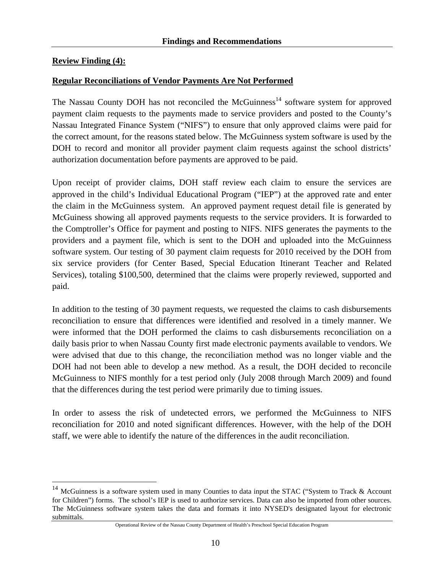## **Review Finding (4):**

 $\overline{a}$ 

#### **Regular Reconciliations of Vendor Payments Are Not Performed**

The Nassau County DOH has not reconciled the McGuinness<sup>14</sup> software system for approved payment claim requests to the payments made to service providers and posted to the County's Nassau Integrated Finance System ("NIFS") to ensure that only approved claims were paid for the correct amount, for the reasons stated below. The McGuinness system software is used by the DOH to record and monitor all provider payment claim requests against the school districts' authorization documentation before payments are approved to be paid.

Upon receipt of provider claims, DOH staff review each claim to ensure the services are approved in the child's Individual Educational Program ("IEP") at the approved rate and enter the claim in the McGuinness system. An approved payment request detail file is generated by McGuiness showing all approved payments requests to the service providers. It is forwarded to the Comptroller's Office for payment and posting to NIFS. NIFS generates the payments to the providers and a payment file, which is sent to the DOH and uploaded into the McGuinness software system. Our testing of 30 payment claim requests for 2010 received by the DOH from six service providers (for Center Based, Special Education Itinerant Teacher and Related Services), totaling \$100,500, determined that the claims were properly reviewed, supported and paid.

In addition to the testing of 30 payment requests, we requested the claims to cash disbursements reconciliation to ensure that differences were identified and resolved in a timely manner. We were informed that the DOH performed the claims to cash disbursements reconciliation on a daily basis prior to when Nassau County first made electronic payments available to vendors. We were advised that due to this change, the reconciliation method was no longer viable and the DOH had not been able to develop a new method. As a result, the DOH decided to reconcile McGuinness to NIFS monthly for a test period only (July 2008 through March 2009) and found that the differences during the test period were primarily due to timing issues.

In order to assess the risk of undetected errors, we performed the McGuinness to NIFS reconciliation for 2010 and noted significant differences. However, with the help of the DOH staff, we were able to identify the nature of the differences in the audit reconciliation.

<sup>14</sup> McGuinness is a software system used in many Counties to data input the STAC ("System to Track & Account for Children") forms. The school's IEP is used to authorize services. Data can also be imported from other sources. The McGuinness software system takes the data and formats it into NYSED's designated layout for electronic submittals.

Operational Review of the Nassau County Department of Health's Preschool Special Education Program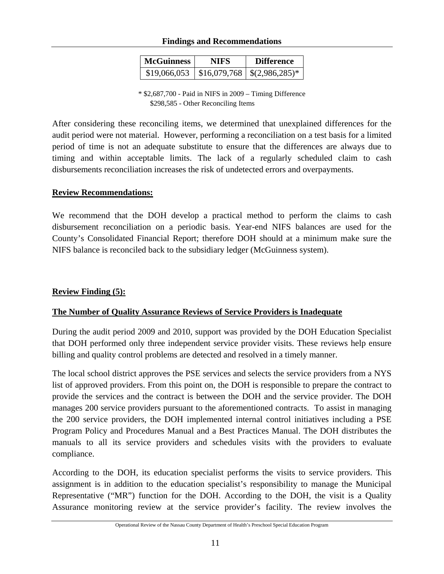#### **Findings and Recommendations**

| <b>McGuinness</b> | NIFS | <b>Difference</b>                 |  |  |  |  |
|-------------------|------|-----------------------------------|--|--|--|--|
| \$19,066,053      |      | $$16,079,768 \mid $(2,986,285)^*$ |  |  |  |  |

\* \$2,687,700 - Paid in NIFS in 2009 – Timing Difference \$298,585 - Other Reconciling Items

After considering these reconciling items, we determined that unexplained differences for the audit period were not material. However, performing a reconciliation on a test basis for a limited period of time is not an adequate substitute to ensure that the differences are always due to timing and within acceptable limits. The lack of a regularly scheduled claim to cash disbursements reconciliation increases the risk of undetected errors and overpayments.

#### **Review Recommendations:**

We recommend that the DOH develop a practical method to perform the claims to cash disbursement reconciliation on a periodic basis. Year-end NIFS balances are used for the County's Consolidated Financial Report; therefore DOH should at a minimum make sure the NIFS balance is reconciled back to the subsidiary ledger (McGuinness system).

#### **Review Finding (5):**

#### **The Number of Quality Assurance Reviews of Service Providers is Inadequate**

During the audit period 2009 and 2010, support was provided by the DOH Education Specialist that DOH performed only three independent service provider visits. These reviews help ensure billing and quality control problems are detected and resolved in a timely manner.

The local school district approves the PSE services and selects the service providers from a NYS list of approved providers. From this point on, the DOH is responsible to prepare the contract to provide the services and the contract is between the DOH and the service provider. The DOH manages 200 service providers pursuant to the aforementioned contracts. To assist in managing the 200 service providers, the DOH implemented internal control initiatives including a PSE Program Policy and Procedures Manual and a Best Practices Manual. The DOH distributes the manuals to all its service providers and schedules visits with the providers to evaluate compliance.

According to the DOH, its education specialist performs the visits to service providers. This assignment is in addition to the education specialist's responsibility to manage the Municipal Representative ("MR") function for the DOH. According to the DOH, the visit is a Quality Assurance monitoring review at the service provider's facility. The review involves the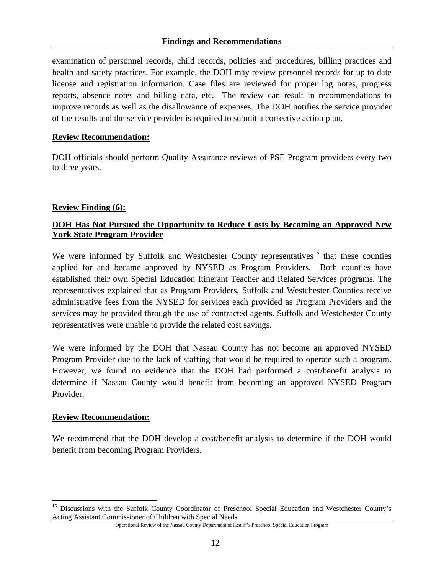examination of personnel records, child records, policies and procedures, billing practices and health and safety practices. For example, the DOH may review personnel records for up to date license and registration information. Case files are reviewed for proper log notes, progress reports, absence notes and billing data, etc. The review can result in recommendations to improve records as well as the disallowance of expenses. The DOH notifies the service provider of the results and the service provider is required to submit a corrective action plan.

#### **Review Recommendation:**

DOH officials should perform Quality Assurance reviews of PSE Program providers every two to three years.

#### **Review Finding (6):**

## **DOH Has Not Pursued the Opportunity to Reduce Costs by Becoming an Approved New York State Program Provider**

We were informed by Suffolk and Westchester County representatives<sup>15</sup> that these counties applied for and became approved by NYSED as Program Providers. Both counties have established their own Special Education Itinerant Teacher and Related Services programs. The representatives explained that as Program Providers, Suffolk and Westchester Counties receive administrative fees from the NYSED for services each provided as Program Providers and the services may be provided through the use of contracted agents. Suffolk and Westchester County representatives were unable to provide the related cost savings.

We were informed by the DOH that Nassau County has not become an approved NYSED Program Provider due to the lack of staffing that would be required to operate such a program. However, we found no evidence that the DOH had performed a cost/benefit analysis to determine if Nassau County would benefit from becoming an approved NYSED Program Provider.

#### **Review Recommendation:**

 $\overline{a}$ 

We recommend that the DOH develop a cost/benefit analysis to determine if the DOH would benefit from becoming Program Providers.

<sup>&</sup>lt;sup>15</sup> Discussions with the Suffolk County Coordinator of Preschool Special Education and Westchester County's Acting Assistant Commissioner of Children with Special Needs.

Operational Review of the Nassau County Department of Health's Preschool Special Education Program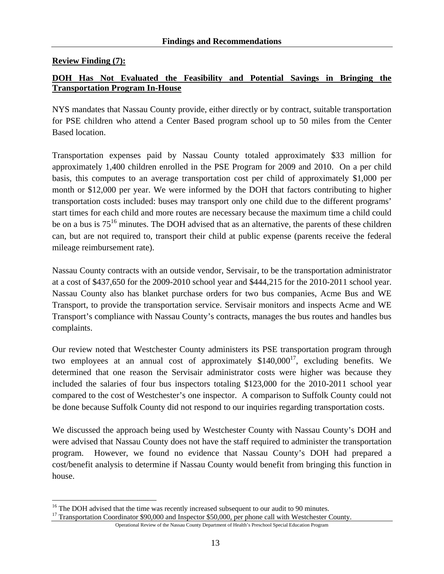## **Review Finding (7):**

 $\overline{a}$ 

## **DOH Has Not Evaluated the Feasibility and Potential Savings in Bringing the Transportation Program In-House**

NYS mandates that Nassau County provide, either directly or by contract, suitable transportation for PSE children who attend a Center Based program school up to 50 miles from the Center Based location.

Transportation expenses paid by Nassau County totaled approximately \$33 million for approximately 1,400 children enrolled in the PSE Program for 2009 and 2010. On a per child basis, this computes to an average transportation cost per child of approximately \$1,000 per month or \$12,000 per year. We were informed by the DOH that factors contributing to higher transportation costs included: buses may transport only one child due to the different programs' start times for each child and more routes are necessary because the maximum time a child could be on a bus is  $75^{16}$  minutes. The DOH advised that as an alternative, the parents of these children can, but are not required to, transport their child at public expense (parents receive the federal mileage reimbursement rate).

Nassau County contracts with an outside vendor, Servisair, to be the transportation administrator at a cost of \$437,650 for the 2009-2010 school year and \$444,215 for the 2010-2011 school year. Nassau County also has blanket purchase orders for two bus companies, Acme Bus and WE Transport, to provide the transportation service. Servisair monitors and inspects Acme and WE Transport's compliance with Nassau County's contracts, manages the bus routes and handles bus complaints.

Our review noted that Westchester County administers its PSE transportation program through two employees at an annual cost of approximately  $$140,000^{17}$ , excluding benefits. We determined that one reason the Servisair administrator costs were higher was because they included the salaries of four bus inspectors totaling \$123,000 for the 2010-2011 school year compared to the cost of Westchester's one inspector. A comparison to Suffolk County could not be done because Suffolk County did not respond to our inquiries regarding transportation costs.

We discussed the approach being used by Westchester County with Nassau County's DOH and were advised that Nassau County does not have the staff required to administer the transportation program. However, we found no evidence that Nassau County's DOH had prepared a cost/benefit analysis to determine if Nassau County would benefit from bringing this function in house.

<sup>&</sup>lt;sup>16</sup> The DOH advised that the time was recently increased subsequent to our audit to 90 minutes.

<sup>&</sup>lt;sup>17</sup> Transportation Coordinator \$90,000 and Inspector \$50,000, per phone call with Westchester County.

Operational Review of the Nassau County Department of Health's Preschool Special Education Program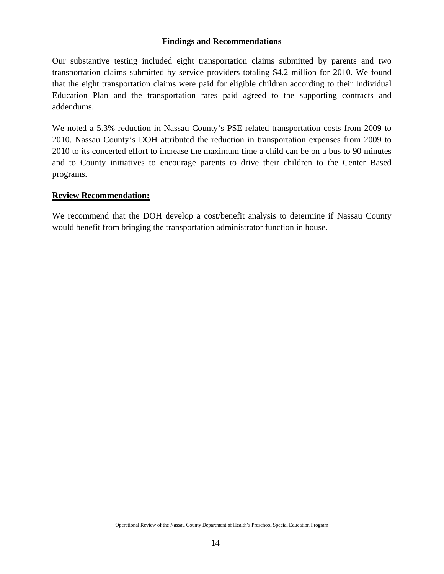Our substantive testing included eight transportation claims submitted by parents and two transportation claims submitted by service providers totaling \$4.2 million for 2010. We found that the eight transportation claims were paid for eligible children according to their Individual Education Plan and the transportation rates paid agreed to the supporting contracts and addendums.

We noted a 5.3% reduction in Nassau County's PSE related transportation costs from 2009 to 2010. Nassau County's DOH attributed the reduction in transportation expenses from 2009 to 2010 to its concerted effort to increase the maximum time a child can be on a bus to 90 minutes and to County initiatives to encourage parents to drive their children to the Center Based programs.

## **Review Recommendation:**

We recommend that the DOH develop a cost/benefit analysis to determine if Nassau County would benefit from bringing the transportation administrator function in house.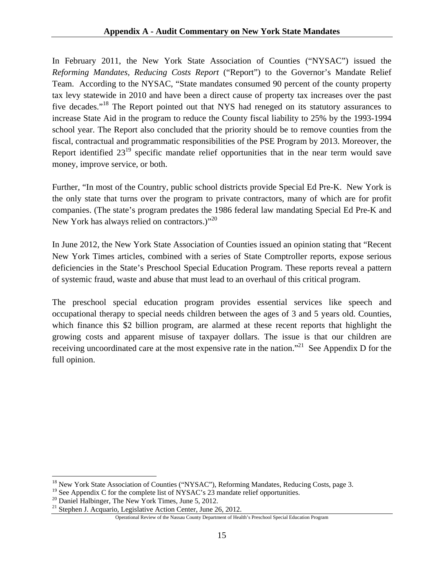In February 2011, the New York State Association of Counties ("NYSAC") issued the *Reforming Mandates, Reducing Costs Report* ("Report") to the Governor's Mandate Relief Team. According to the NYSAC, "State mandates consumed 90 percent of the county property tax levy statewide in 2010 and have been a direct cause of property tax increases over the past five decades."<sup>18</sup> The Report pointed out that NYS had reneged on its statutory assurances to increase State Aid in the program to reduce the County fiscal liability to 25% by the 1993-1994 school year. The Report also concluded that the priority should be to remove counties from the fiscal, contractual and programmatic responsibilities of the PSE Program by 2013. Moreover, the Report identified  $23^{19}$  specific mandate relief opportunities that in the near term would save money, improve service, or both.

Further, "In most of the Country, public school districts provide Special Ed Pre-K. New York is the only state that turns over the program to private contractors, many of which are for profit companies. (The state's program predates the 1986 federal law mandating Special Ed Pre-K and New York has always relied on contractors.)"<sup>20</sup>

In June 2012, the New York State Association of Counties issued an opinion stating that "Recent New York Times articles, combined with a series of State Comptroller reports, expose serious deficiencies in the State's Preschool Special Education Program. These reports reveal a pattern of systemic fraud, waste and abuse that must lead to an overhaul of this critical program.

The preschool special education program provides essential services like speech and occupational therapy to special needs children between the ages of 3 and 5 years old. Counties, which finance this \$2 billion program, are alarmed at these recent reports that highlight the growing costs and apparent misuse of taxpayer dollars. The issue is that our children are receiving uncoordinated care at the most expensive rate in the nation."<sup>21</sup> See Appendix D for the full opinion.

 $\overline{a}$ 

<sup>&</sup>lt;sup>18</sup> New York State Association of Counties ("NYSAC"), Reforming Mandates, Reducing Costs, page 3.

 $19$  See Appendix C for the complete list of NYSAC's 23 mandate relief opportunities.

<sup>&</sup>lt;sup>20</sup> Daniel Halbinger, The New York Times, June 5, 2012.

<sup>&</sup>lt;sup>21</sup> Stephen J. Acquario, Legislative Action Center, June 26, 2012.

Operational Review of the Nassau County Department of Health's Preschool Special Education Program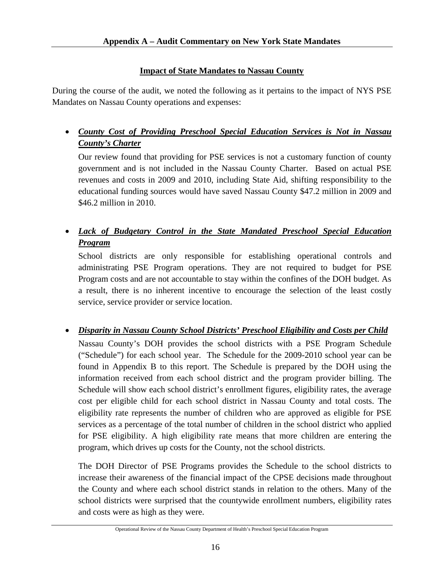## **Impact of State Mandates to Nassau County**

During the course of the audit, we noted the following as it pertains to the impact of NYS PSE Mandates on Nassau County operations and expenses:

• *County Cost of Providing Preschool Special Education Services is Not in Nassau County's Charter* 

Our review found that providing for PSE services is not a customary function of county government and is not included in the Nassau County Charter. Based on actual PSE revenues and costs in 2009 and 2010, including State Aid, shifting responsibility to the educational funding sources would have saved Nassau County \$47.2 million in 2009 and \$46.2 million in 2010.

# • *Lack of Budgetary Control in the State Mandated Preschool Special Education Program*

School districts are only responsible for establishing operational controls and administrating PSE Program operations. They are not required to budget for PSE Program costs and are not accountable to stay within the confines of the DOH budget. As a result, there is no inherent incentive to encourage the selection of the least costly service, service provider or service location.

## • *Disparity in Nassau County School Districts' Preschool Eligibility and Costs per Child*

Nassau County's DOH provides the school districts with a PSE Program Schedule ("Schedule") for each school year. The Schedule for the 2009-2010 school year can be found in Appendix B to this report. The Schedule is prepared by the DOH using the information received from each school district and the program provider billing. The Schedule will show each school district's enrollment figures, eligibility rates, the average cost per eligible child for each school district in Nassau County and total costs. The eligibility rate represents the number of children who are approved as eligible for PSE services as a percentage of the total number of children in the school district who applied for PSE eligibility. A high eligibility rate means that more children are entering the program, which drives up costs for the County, not the school districts.

The DOH Director of PSE Programs provides the Schedule to the school districts to increase their awareness of the financial impact of the CPSE decisions made throughout the County and where each school district stands in relation to the others. Many of the school districts were surprised that the countywide enrollment numbers, eligibility rates and costs were as high as they were.

Operational Review of the Nassau County Department of Health's Preschool Special Education Program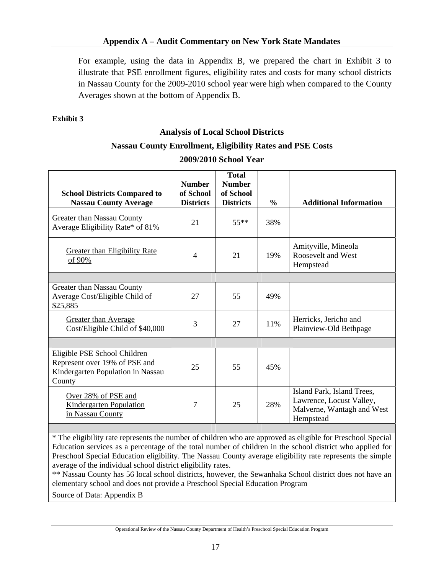For example, using the data in Appendix B, we prepared the chart in Exhibit 3 to illustrate that PSE enrollment figures, eligibility rates and costs for many school districts in Nassau County for the 2009-2010 school year were high when compared to the County Averages shown at the bottom of Appendix B.

#### **Exhibit 3**

## **Analysis of Local School Districts**

## **Nassau County Enrollment, Eligibility Rates and PSE Costs**

| <b>School Districts Compared to</b><br><b>Nassau County Average</b>                                          | <b>Number</b><br>of School<br><b>Districts</b> | Total<br><b>Number</b><br>of School<br><b>Districts</b> | $\frac{6}{9}$ | <b>Additional Information</b>                                                                     |
|--------------------------------------------------------------------------------------------------------------|------------------------------------------------|---------------------------------------------------------|---------------|---------------------------------------------------------------------------------------------------|
| Greater than Nassau County<br>Average Eligibility Rate* of 81%                                               | 21                                             | $55***$                                                 | 38%           |                                                                                                   |
| <b>Greater than Eligibility Rate</b><br>of 90%                                                               | $\overline{4}$                                 | 21                                                      | 19%           | Amityville, Mineola<br>Roosevelt and West<br>Hempstead                                            |
|                                                                                                              |                                                |                                                         |               |                                                                                                   |
| Greater than Nassau County<br>Average Cost/Eligible Child of<br>\$25,885                                     | 27                                             | 55                                                      | 49%           |                                                                                                   |
| <b>Greater than Average</b><br>Cost/Eligible Child of \$40,000                                               | 3                                              | 27                                                      | 11%           | Herricks, Jericho and<br>Plainview-Old Bethpage                                                   |
|                                                                                                              |                                                |                                                         |               |                                                                                                   |
| Eligible PSE School Children<br>Represent over 19% of PSE and<br>Kindergarten Population in Nassau<br>County | 25                                             | 55                                                      | 45%           |                                                                                                   |
| Over 28% of PSE and<br><b>Kindergarten Population</b><br>in Nassau County                                    | 7                                              | 25                                                      | 28%           | Island Park, Island Trees,<br>Lawrence, Locust Valley,<br>Malverne, Wantagh and West<br>Hempstead |

#### **2009/2010 School Year**

\* The eligibility rate represents the number of children who are approved as eligible for Preschool Special Education services as a percentage of the total number of children in the school district who applied for Preschool Special Education eligibility. The Nassau County average eligibility rate represents the simple average of the individual school district eligibility rates.

\*\* Nassau County has 56 local school districts, however, the Sewanhaka School district does not have an elementary school and does not provide a Preschool Special Education Program

Source of Data: Appendix B

Operational Review of the Nassau County Department of Health's Preschool Special Education Program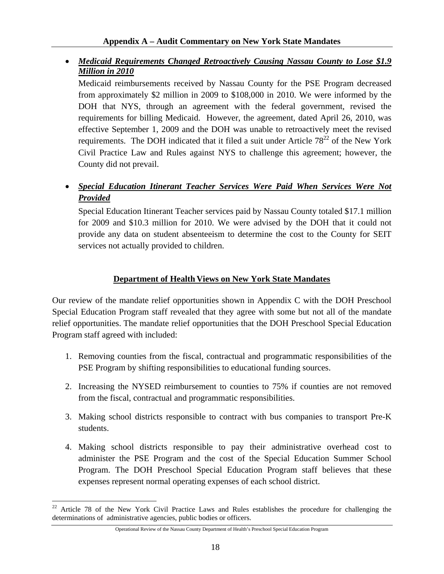## • *Medicaid Requirements Changed Retroactively Causing Nassau County to Lose \$1.9 Million in 2010*

Medicaid reimbursements received by Nassau County for the PSE Program decreased from approximately \$2 million in 2009 to \$108,000 in 2010. We were informed by the DOH that NYS, through an agreement with the federal government, revised the requirements for billing Medicaid. However, the agreement, dated April 26, 2010, was effective September 1, 2009 and the DOH was unable to retroactively meet the revised requirements. The DOH indicated that it filed a suit under Article  $78^{22}$  of the New York Civil Practice Law and Rules against NYS to challenge this agreement; however, the County did not prevail.

## • *Special Education Itinerant Teacher Services Were Paid When Services Were Not Provided*

Special Education Itinerant Teacher services paid by Nassau County totaled \$17.1 million for 2009 and \$10.3 million for 2010. We were advised by the DOH that it could not provide any data on student absenteeism to determine the cost to the County for SEIT services not actually provided to children.

## **Department of Health Views on New York State Mandates**

Our review of the mandate relief opportunities shown in Appendix C with the DOH Preschool Special Education Program staff revealed that they agree with some but not all of the mandate relief opportunities. The mandate relief opportunities that the DOH Preschool Special Education Program staff agreed with included:

- 1. Removing counties from the fiscal, contractual and programmatic responsibilities of the PSE Program by shifting responsibilities to educational funding sources.
- 2. Increasing the NYSED reimbursement to counties to 75% if counties are not removed from the fiscal, contractual and programmatic responsibilities.
- 3. Making school districts responsible to contract with bus companies to transport Pre-K students.
- 4. Making school districts responsible to pay their administrative overhead cost to administer the PSE Program and the cost of the Special Education Summer School Program. The DOH Preschool Special Education Program staff believes that these expenses represent normal operating expenses of each school district.

 $22\,$ Article 78 of the New York Civil Practice Laws and Rules establishes the procedure for challenging the determinations of administrative agencies, public bodies or officers.

Operational Review of the Nassau County Department of Health's Preschool Special Education Program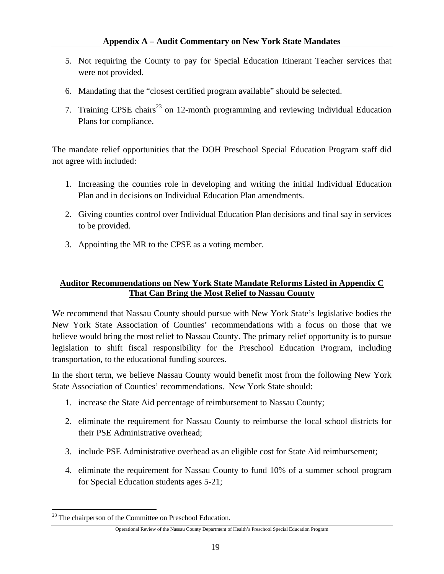- 5. Not requiring the County to pay for Special Education Itinerant Teacher services that were not provided.
- 6. Mandating that the "closest certified program available" should be selected.
- 7. Training CPSE chairs<sup>23</sup> on 12-month programming and reviewing Individual Education Plans for compliance.

The mandate relief opportunities that the DOH Preschool Special Education Program staff did not agree with included:

- 1. Increasing the counties role in developing and writing the initial Individual Education Plan and in decisions on Individual Education Plan amendments.
- 2. Giving counties control over Individual Education Plan decisions and final say in services to be provided.
- 3. Appointing the MR to the CPSE as a voting member.

## **Auditor Recommendations on New York State Mandate Reforms Listed in Appendix C That Can Bring the Most Relief to Nassau County**

We recommend that Nassau County should pursue with New York State's legislative bodies the New York State Association of Counties' recommendations with a focus on those that we believe would bring the most relief to Nassau County. The primary relief opportunity is to pursue legislation to shift fiscal responsibility for the Preschool Education Program, including transportation, to the educational funding sources.

In the short term, we believe Nassau County would benefit most from the following New York State Association of Counties' recommendations. New York State should:

- 1. increase the State Aid percentage of reimbursement to Nassau County;
- 2. eliminate the requirement for Nassau County to reimburse the local school districts for their PSE Administrative overhead;
- 3. include PSE Administrative overhead as an eligible cost for State Aid reimbursement;
- 4. eliminate the requirement for Nassau County to fund 10% of a summer school program for Special Education students ages 5-21;

<u>.</u>

<sup>&</sup>lt;sup>23</sup> The chairperson of the Committee on Preschool Education.

Operational Review of the Nassau County Department of Health's Preschool Special Education Program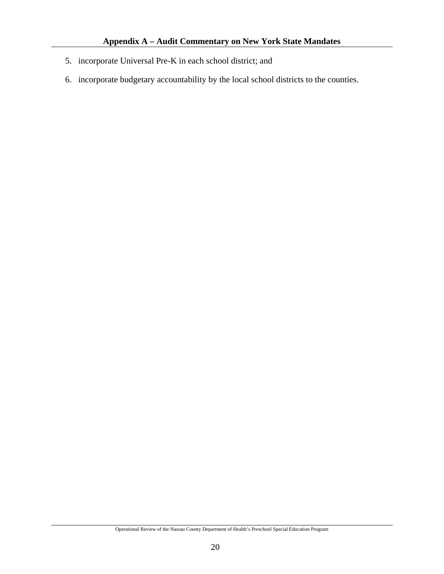- 5. incorporate Universal Pre-K in each school district; and
- 6. incorporate budgetary accountability by the local school districts to the counties.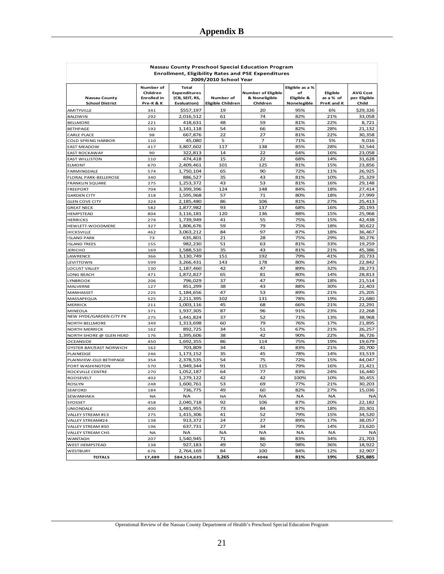| Nassau County Preschool Special Education Program         |                                                        |                                                                      |                                |                                                        |                                                    |                                     |                                          |  |  |  |
|-----------------------------------------------------------|--------------------------------------------------------|----------------------------------------------------------------------|--------------------------------|--------------------------------------------------------|----------------------------------------------------|-------------------------------------|------------------------------------------|--|--|--|
| <b>Enrollment, Eligibility Rates and PSE Expenditures</b> |                                                        |                                                                      |                                |                                                        |                                                    |                                     |                                          |  |  |  |
| 2009/2010 School Year                                     |                                                        |                                                                      |                                |                                                        |                                                    |                                     |                                          |  |  |  |
| <b>Nassau County</b><br><b>School District</b>            | Number of<br>Children<br><b>Enrolled</b> in<br>Pre-K&K | <b>Total</b><br><b>Expenditures</b><br>(CB, SEIT, RS,<br>Evaluation) | Number of<br>Eligible Children | <b>Number of Eligible</b><br>& Noneligible<br>Children | Eligible as a %<br>оf<br>Eligible &<br>Nonelegible | Eligible<br>as a % of<br>PreK and K | <b>AVG Cost</b><br>per Eligible<br>Child |  |  |  |
| <b>AMITYVILLE</b>                                         | 341                                                    | \$557,197                                                            | 19                             | 20                                                     | 95%                                                | 6%                                  | \$29,326                                 |  |  |  |
| <b>BALDWIN</b>                                            | 292                                                    | 2,016,512                                                            | 61                             | 74                                                     | 82%                                                | 21%                                 | 33,058                                   |  |  |  |
| <b>BELLMORE</b>                                           | 221                                                    | 418,631                                                              | 48                             | 59                                                     | 81%                                                | 22%                                 | 8,721                                    |  |  |  |
| <b>BETHPAGE</b>                                           | 192                                                    | 1,141,118                                                            | 54                             | 66                                                     | 82%                                                | 28%                                 | 21,132                                   |  |  |  |
| <b>CARLE PLACE</b>                                        | 98                                                     | 667,876                                                              | 22                             | 27                                                     | 81%                                                | 22%                                 | 30,358                                   |  |  |  |
| <b>COLD SPRING HARBOR</b>                                 | 110                                                    | 45.080                                                               | 5                              | $\overline{7}$                                         | 71%                                                | 5%                                  | 9,016                                    |  |  |  |
| <b>EAST MEADOW</b>                                        | 417                                                    | 3,807,602                                                            | 117                            | 138                                                    | 85%                                                | 28%                                 | 32,544                                   |  |  |  |
| <b>EAST ROCKAWAY</b>                                      | 90                                                     | 322,813                                                              | 14                             | 22                                                     | 64%                                                | 16%                                 | 23,058                                   |  |  |  |
| <b>EAST WILLISTON</b>                                     | 110                                                    | 474,418                                                              | 15                             | 22                                                     | 68%                                                | 14%                                 | 31,628                                   |  |  |  |
| <b>ELMONT</b>                                             | 670                                                    | 2,409,461                                                            | 101                            | 125                                                    | 81%                                                | 15%                                 | 23,856                                   |  |  |  |
| <b>FARMINGDALE</b>                                        | 574                                                    | 1,750,104                                                            | 65                             | 90                                                     | 72%                                                | 11%                                 | 26,925                                   |  |  |  |
| FLORAL PARK-BELLEROSE<br><b>FRANKLIN SQUARE</b>           | 340<br>275                                             | 886,527<br>1,253,372                                                 | 35<br>43                       | 43<br>53                                               | 81%<br>81%                                         | 10%<br>16%                          | 25,329<br>29,148                         |  |  |  |
| <b>FREEPORT</b>                                           | 704                                                    | 3,399,396                                                            | 124                            | 148                                                    | 84%                                                | 18%                                 | 27,414                                   |  |  |  |
| <b>GARDEN CITY</b>                                        | 318                                                    | 1,595,968                                                            | 57                             | 71                                                     | 80%                                                | 18%                                 | 27,999                                   |  |  |  |
| <b>GLEN COVE CITY</b>                                     | 324                                                    | 2,185,480                                                            | 86                             | 106                                                    | 81%                                                | 27%                                 | 25,413                                   |  |  |  |
| <b>GREAT NECK</b>                                         | 582                                                    | 1,877,982                                                            | 93                             | 137                                                    | 68%                                                | 16%                                 | 20,193                                   |  |  |  |
| <b>HEMPSTEAD</b>                                          | 804                                                    | 3,116,181                                                            | 120                            | 136                                                    | 88%                                                | 15%                                 | 25,968                                   |  |  |  |
| <b>HERRICKS</b>                                           | 274                                                    | 1,739,949                                                            | 41                             | 55                                                     | 75%                                                | 15%                                 | 42,438                                   |  |  |  |
| HEWLETT-WOODMERE                                          | 327                                                    | 1,806,676                                                            | 59                             | 79                                                     | 75%                                                | 18%                                 | 30,622                                   |  |  |  |
| <b>HICKSVILLE</b>                                         | 462                                                    | 3,063,212                                                            | 84                             | 97                                                     | 87%                                                | 18%                                 | 36,467                                   |  |  |  |
| <b>ISLAND PARK</b>                                        | 73                                                     | 635,801                                                              | 21                             | 28                                                     | 75%                                                | 29%                                 | 30,276                                   |  |  |  |
| <b>ISLAND TREES</b>                                       | 155                                                    | 982,230                                                              | 51                             | 63                                                     | 81%                                                | 33%                                 | 19,259                                   |  |  |  |
| <b>JERICHO</b>                                            | 169                                                    | 1,588,510                                                            | 35                             | 43                                                     | 81%                                                | 21%                                 | 45,386                                   |  |  |  |
| LAWRENCE                                                  | 366                                                    | 3,130,749                                                            | 151                            | 192                                                    | 79%                                                | 41%                                 | 20,733                                   |  |  |  |
| <b>LEVITTOWN</b>                                          | 599                                                    | 3,266,431                                                            | 143                            | 178                                                    | 80%                                                | 24%                                 | 22,842                                   |  |  |  |
| <b>LOCUST VALLEY</b>                                      | 130<br>471                                             | 1,187,460                                                            | 42<br>65                       | 47<br>81                                               | 89%<br>80%                                         | 32%<br>14%                          | 28,273                                   |  |  |  |
| LONG BEACH<br><b>LYNBROOK</b>                             | 206                                                    | 1,872,827<br>796,029                                                 | 37                             | 47                                                     | 79%                                                | 18%                                 | 28,813<br>21,514                         |  |  |  |
| <b>MALVERNE</b>                                           | 127                                                    | 851,299                                                              | 38                             | 43                                                     | 88%                                                | 30%                                 | 22,403                                   |  |  |  |
| MANHASSET                                                 | 225                                                    | 1,184,656                                                            | 47                             | 53                                                     | 89%                                                | 21%                                 | 25,205                                   |  |  |  |
| MASSAPEQUA                                                | 525                                                    | 2,211,395                                                            | 102                            | 131                                                    | 78%                                                | 19%                                 | 21,680                                   |  |  |  |
| <b>MERRICK</b>                                            | 211                                                    | 1,003,116                                                            | 45                             | 68                                                     | 66%                                                | 21%                                 | 22,291                                   |  |  |  |
| <b>MINEOLA</b>                                            | 371                                                    | 1,937,305                                                            | 87                             | 96                                                     | 91%                                                | 23%                                 | 22,268                                   |  |  |  |
| NEW HYDE/GARDEN CITY PK                                   | 275                                                    | 1,441,824                                                            | 37                             | 52                                                     | 71%                                                | 13%                                 | 38,968                                   |  |  |  |
| <b>NORTH BELLMORE</b>                                     | 349                                                    | 1,313,698                                                            | 60                             | 79                                                     | 76%                                                | 17%                                 | 21,895                                   |  |  |  |
| <b>NORTH MERRICK</b>                                      | 162                                                    | 892,725                                                              | 34                             | 51                                                     | 67%                                                | 21%                                 | 26,257                                   |  |  |  |
| NORTH SHORE @ GLEN HEAD                                   | 176                                                    | 1,395,606                                                            | 38                             | 42                                                     | 90%                                                | 22%                                 | 36,726                                   |  |  |  |
| <b>OCEANSIDE</b>                                          | 450                                                    | 1,692,355                                                            | 86                             | 114                                                    | 75%                                                | 19%                                 | 19,679                                   |  |  |  |
| OYSTER BAY/EAST NORWICH                                   | 162                                                    | 703,809                                                              | 34                             | 41                                                     | 83%                                                | 21%                                 | 20,700                                   |  |  |  |
| <b>PLAINEDGE</b><br>PLAINVIEW-OLD BETHPAGE                | 246<br>354                                             | 1.173.152<br>2,378,535                                               | 35<br>54                       | 45<br>75                                               | 78%<br>72%                                         | 14%<br>15%                          | 33.519<br>44,047                         |  |  |  |
| PORT WASHINGTON                                           | 570                                                    | 1,949,344                                                            | 91                             | 115                                                    | 79%                                                | 16%                                 | 21,421                                   |  |  |  |
| ROCKVILLE CENTRE                                          | 270                                                    | 1,052,187                                                            | 64                             | 77                                                     | 83%                                                | 24%                                 | 16,440                                   |  |  |  |
| <b>ROOSEVELT</b>                                          | 402                                                    | 1,279,122                                                            | 42                             | 42                                                     | 100%                                               | 10%                                 | 30,455                                   |  |  |  |
| <b>ROSLYN</b>                                             | 248                                                    | 1,600,761                                                            | 53                             | 69                                                     | 77%                                                | 21%                                 | 30,203                                   |  |  |  |
| SEAFORD                                                   | 184                                                    | 736,775                                                              | 49                             | 60                                                     | 82%                                                | 27%                                 | 15,036                                   |  |  |  |
| <b>SEWANHAKA</b>                                          | <b>NA</b>                                              | <b>NA</b>                                                            | <b>NA</b>                      | NA                                                     | <b>NA</b>                                          | NA                                  | <b>NA</b>                                |  |  |  |
| SYOSSET                                                   | 458                                                    | 2,040,718                                                            | 92                             | 106                                                    | 87%                                                | 20%                                 | 22,182                                   |  |  |  |
| <b>UNIONDALE</b>                                          | 400                                                    | 1,481,955                                                            | 73                             | 84                                                     | 87%                                                | 18%                                 | 20,301                                   |  |  |  |
| VALLEY STREAM #13                                         | 275                                                    | 1,415,306                                                            | 41                             | 52                                                     | 79%                                                | 15%                                 | 34,520                                   |  |  |  |
| VALLEY STREAM#24                                          | 138                                                    | 913,372                                                              | 24                             | 27                                                     | 89%                                                | 17%                                 | 38,057                                   |  |  |  |
| VALLEY STREAM #30                                         | 196                                                    | 637,731                                                              | 27                             | 34                                                     | 79%                                                | 14%                                 | 23,620                                   |  |  |  |
| <b>VALLEY STREAM CHS</b>                                  | <b>NA</b>                                              | NA.                                                                  | <b>NA</b>                      | <b>NA</b>                                              | <b>NA</b>                                          | <b>NA</b>                           | <b>NA</b>                                |  |  |  |
| WANTAGH<br><b>WEST HEMPSTEAD</b>                          | 207<br>138                                             | 1,540,945<br>927,183                                                 | 71<br>49                       | 86<br>50                                               | 83%<br>98%                                         | 34%<br>36%                          | 21,703<br>18,922                         |  |  |  |
| WESTBURY                                                  | 676                                                    | 2,764,169                                                            | 84                             | 100                                                    | 84%                                                | 12%                                 | 32,907                                   |  |  |  |
| <b>TOTALS</b>                                             | 17,489                                                 | \$84,514,635                                                         | 3,265                          | 4046                                                   | 81%                                                | 19%                                 | \$25,885                                 |  |  |  |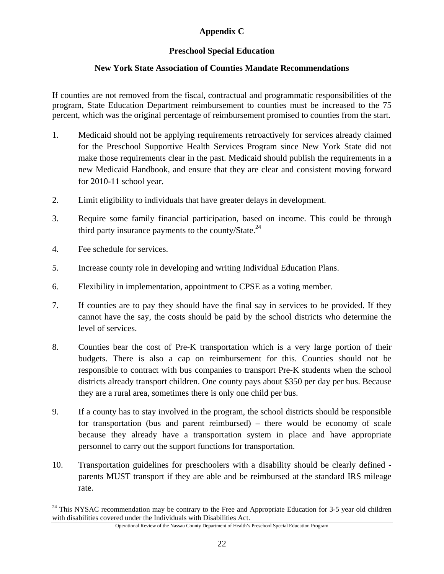## **Preschool Special Education**

## **New York State Association of Counties Mandate Recommendations**

If counties are not removed from the fiscal, contractual and programmatic responsibilities of the program, State Education Department reimbursement to counties must be increased to the 75 percent, which was the original percentage of reimbursement promised to counties from the start.

- 1. Medicaid should not be applying requirements retroactively for services already claimed for the Preschool Supportive Health Services Program since New York State did not make those requirements clear in the past. Medicaid should publish the requirements in a new Medicaid Handbook, and ensure that they are clear and consistent moving forward for 2010-11 school year.
- 2. Limit eligibility to individuals that have greater delays in development.
- 3. Require some family financial participation, based on income. This could be through third party insurance payments to the county/State. $^{24}$
- 4. Fee schedule for services.

 $\overline{a}$ 

- 5. Increase county role in developing and writing Individual Education Plans.
- 6. Flexibility in implementation, appointment to CPSE as a voting member.
- 7. If counties are to pay they should have the final say in services to be provided. If they cannot have the say, the costs should be paid by the school districts who determine the level of services.
- 8. Counties bear the cost of Pre-K transportation which is a very large portion of their budgets. There is also a cap on reimbursement for this. Counties should not be responsible to contract with bus companies to transport Pre-K students when the school districts already transport children. One county pays about \$350 per day per bus. Because they are a rural area, sometimes there is only one child per bus.
- 9. If a county has to stay involved in the program, the school districts should be responsible for transportation (bus and parent reimbursed) – there would be economy of scale because they already have a transportation system in place and have appropriate personnel to carry out the support functions for transportation.
- 10. Transportation guidelines for preschoolers with a disability should be clearly defined parents MUST transport if they are able and be reimbursed at the standard IRS mileage rate.

 $24$  This NYSAC recommendation may be contrary to the Free and Appropriate Education for 3-5 year old children with disabilities covered under the Individuals with Disabilities Act.

Operational Review of the Nassau County Department of Health's Preschool Special Education Program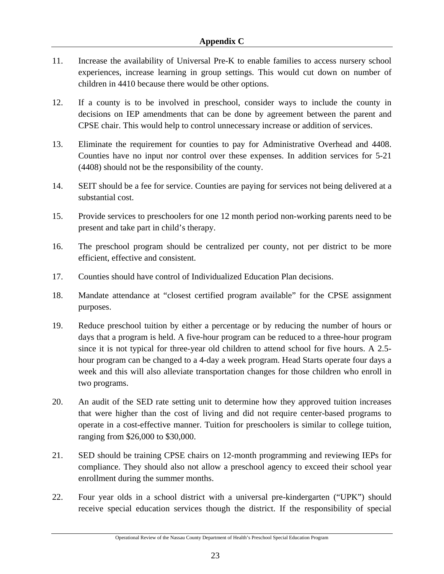- 11. Increase the availability of Universal Pre-K to enable families to access nursery school experiences, increase learning in group settings. This would cut down on number of children in 4410 because there would be other options.
- 12. If a county is to be involved in preschool, consider ways to include the county in decisions on IEP amendments that can be done by agreement between the parent and CPSE chair. This would help to control unnecessary increase or addition of services.
- 13. Eliminate the requirement for counties to pay for Administrative Overhead and 4408. Counties have no input nor control over these expenses. In addition services for 5-21 (4408) should not be the responsibility of the county.
- 14. SEIT should be a fee for service. Counties are paying for services not being delivered at a substantial cost.
- 15. Provide services to preschoolers for one 12 month period non-working parents need to be present and take part in child's therapy.
- 16. The preschool program should be centralized per county, not per district to be more efficient, effective and consistent.
- 17. Counties should have control of Individualized Education Plan decisions.
- 18. Mandate attendance at "closest certified program available" for the CPSE assignment purposes.
- 19. Reduce preschool tuition by either a percentage or by reducing the number of hours or days that a program is held. A five-hour program can be reduced to a three-hour program since it is not typical for three-year old children to attend school for five hours. A 2.5 hour program can be changed to a 4-day a week program. Head Starts operate four days a week and this will also alleviate transportation changes for those children who enroll in two programs.
- 20. An audit of the SED rate setting unit to determine how they approved tuition increases that were higher than the cost of living and did not require center-based programs to operate in a cost-effective manner. Tuition for preschoolers is similar to college tuition, ranging from \$26,000 to \$30,000.
- 21. SED should be training CPSE chairs on 12-month programming and reviewing IEPs for compliance. They should also not allow a preschool agency to exceed their school year enrollment during the summer months.
- 22. Four year olds in a school district with a universal pre-kindergarten ("UPK") should receive special education services though the district. If the responsibility of special

Operational Review of the Nassau County Department of Health's Preschool Special Education Program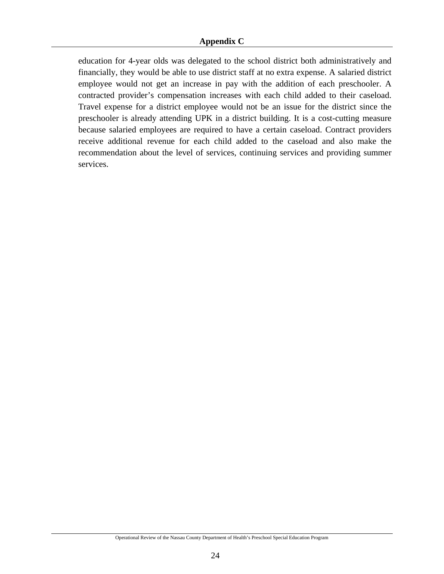education for 4-year olds was delegated to the school district both administratively and financially, they would be able to use district staff at no extra expense. A salaried district employee would not get an increase in pay with the addition of each preschooler. A contracted provider's compensation increases with each child added to their caseload. Travel expense for a district employee would not be an issue for the district since the preschooler is already attending UPK in a district building. It is a cost-cutting measure because salaried employees are required to have a certain caseload. Contract providers receive additional revenue for each child added to the caseload and also make the recommendation about the level of services, continuing services and providing summer services.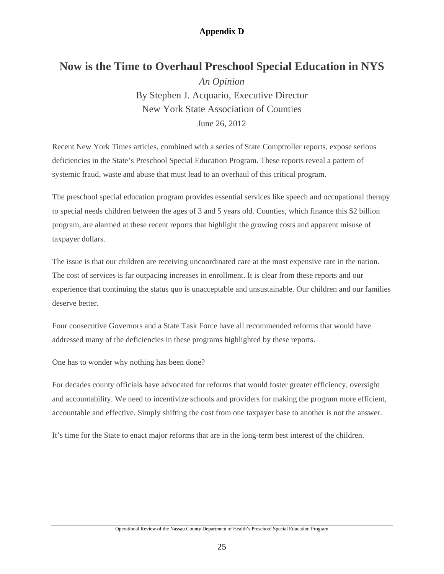# **Now is the Time to Overhaul Preschool Special Education in NYS**

*An Opinion* By Stephen J. Acquario, Executive Director New York State Association of Counties June 26, 2012

Recent New York Times articles, combined with a series of State Comptroller reports, expose serious deficiencies in the State's Preschool Special Education Program. These reports reveal a pattern of systemic fraud, waste and abuse that must lead to an overhaul of this critical program.

The preschool special education program provides essential services like speech and occupational therapy to special needs children between the ages of 3 and 5 years old. Counties, which finance this \$2 billion program, are alarmed at these recent reports that highlight the growing costs and apparent misuse of taxpayer dollars.

The issue is that our children are receiving uncoordinated care at the most expensive rate in the nation. The cost of services is far outpacing increases in enrollment. It is clear from these reports and our experience that continuing the status quo is unacceptable and unsustainable. Our children and our families deserve better.

Four consecutive Governors and a State Task Force have all recommended reforms that would have addressed many of the deficiencies in these programs highlighted by these reports.

One has to wonder why nothing has been done?

For decades county officials have advocated for reforms that would foster greater efficiency, oversight and accountability. We need to incentivize schools and providers for making the program more efficient, accountable and effective. Simply shifting the cost from one taxpayer base to another is not the answer.

It's time for the State to enact major reforms that are in the long-term best interest of the children.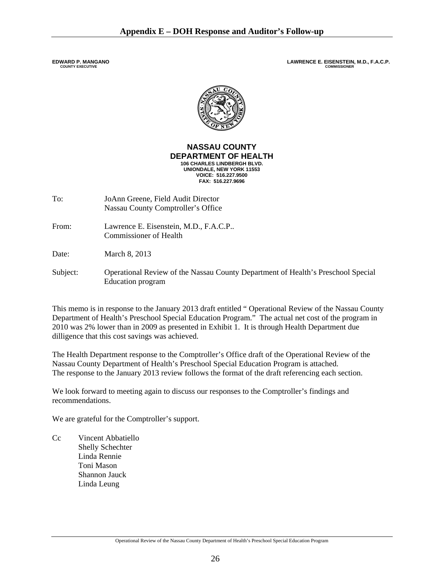**EDWARD P. MANGANO**<br>
COUNTY EXECUTIVE<br>
COUNTY EXECUTIVE



#### **NASSAU COUNTY DEPARTMENT OF HEALTH 106 CHARLES LINDBERGH BLVD. UNIONDALE, NEW YORK 11553 VOICE: 516.227.9500 FAX: 516.227.9696**

- To: JoAnn Greene, Field Audit Director Nassau County Comptroller's Office
- From: Lawrence E. Eisenstein, M.D., F.A.C.P.. Commissioner of Health

Date: March 8, 2013

Subject: Operational Review of the Nassau County Department of Health's Preschool Special Education program

This memo is in response to the January 2013 draft entitled " Operational Review of the Nassau County Department of Health's Preschool Special Education Program." The actual net cost of the program in 2010 was 2% lower than in 2009 as presented in Exhibit 1. It is through Health Department due dilligence that this cost savings was achieved.

The Health Department response to the Comptroller's Office draft of the Operational Review of the Nassau County Department of Health's Preschool Special Education Program is attached. The response to the January 2013 review follows the format of the draft referencing each section.

We look forward to meeting again to discuss our responses to the Comptroller's findings and recommendations.

We are grateful for the Comptroller's support.

Cc Vincent Abbatiello Shelly Schechter Linda Rennie Toni Mason Shannon Jauck Linda Leung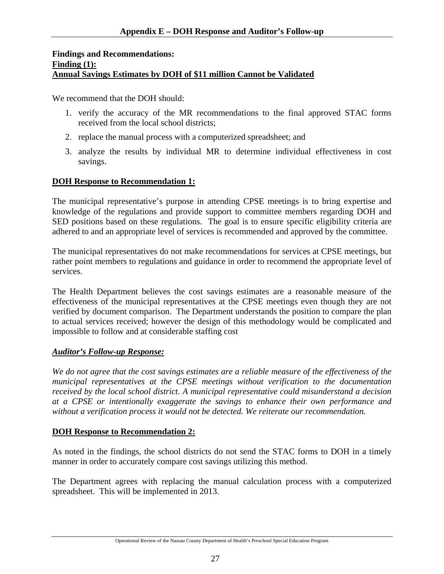#### **Findings and Recommendations: Finding (1): Annual Savings Estimates by DOH of \$11 million Cannot be Validated**

We recommend that the DOH should:

- 1. verify the accuracy of the MR recommendations to the final approved STAC forms received from the local school districts;
- 2. replace the manual process with a computerized spreadsheet; and
- 3. analyze the results by individual MR to determine individual effectiveness in cost savings.

## **DOH Response to Recommendation 1:**

The municipal representative's purpose in attending CPSE meetings is to bring expertise and knowledge of the regulations and provide support to committee members regarding DOH and SED positions based on these regulations. The goal is to ensure specific eligibility criteria are adhered to and an appropriate level of services is recommended and approved by the committee.

The municipal representatives do not make recommendations for services at CPSE meetings, but rather point members to regulations and guidance in order to recommend the appropriate level of services.

The Health Department believes the cost savings estimates are a reasonable measure of the effectiveness of the municipal representatives at the CPSE meetings even though they are not verified by document comparison. The Department understands the position to compare the plan to actual services received; however the design of this methodology would be complicated and impossible to follow and at considerable staffing cost

## *Auditor's Follow-up Response:*

*We do not agree that the cost savings estimates are a reliable measure of the effectiveness of the municipal representatives at the CPSE meetings without verification to the documentation received by the local school district. A municipal representative could misunderstand a decision at a CPSE or intentionally exaggerate the savings to enhance their own performance and without a verification process it would not be detected. We reiterate our recommendation.* 

## **DOH Response to Recommendation 2:**

As noted in the findings, the school districts do not send the STAC forms to DOH in a timely manner in order to accurately compare cost savings utilizing this method.

The Department agrees with replacing the manual calculation process with a computerized spreadsheet. This will be implemented in 2013.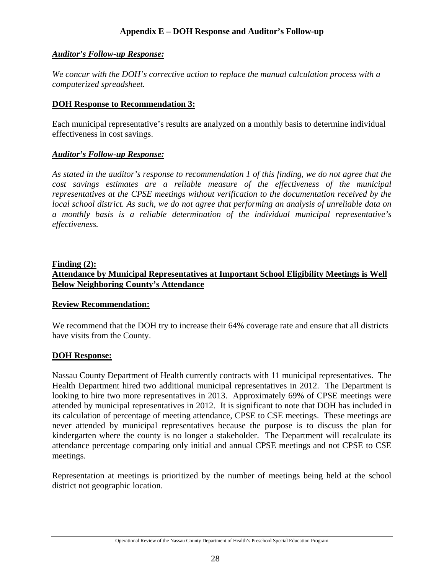#### *Auditor's Follow-up Response:*

*We concur with the DOH's corrective action to replace the manual calculation process with a computerized spreadsheet.* 

#### **DOH Response to Recommendation 3:**

Each municipal representative's results are analyzed on a monthly basis to determine individual effectiveness in cost savings.

#### *Auditor's Follow-up Response:*

*As stated in the auditor's response to recommendation 1 of this finding, we do not agree that the cost savings estimates are a reliable measure of the effectiveness of the municipal representatives at the CPSE meetings without verification to the documentation received by the local school district. As such, we do not agree that performing an analysis of unreliable data on a monthly basis is a reliable determination of the individual municipal representative's effectiveness.* 

## **Finding (2): Attendance by Municipal Representatives at Important School Eligibility Meetings is Well Below Neighboring County's Attendance**

#### **Review Recommendation:**

We recommend that the DOH try to increase their 64% coverage rate and ensure that all districts have visits from the County.

## **DOH Response:**

Nassau County Department of Health currently contracts with 11 municipal representatives. The Health Department hired two additional municipal representatives in 2012. The Department is looking to hire two more representatives in 2013. Approximately 69% of CPSE meetings were attended by municipal representatives in 2012. It is significant to note that DOH has included in its calculation of percentage of meeting attendance, CPSE to CSE meetings. These meetings are never attended by municipal representatives because the purpose is to discuss the plan for kindergarten where the county is no longer a stakeholder. The Department will recalculate its attendance percentage comparing only initial and annual CPSE meetings and not CPSE to CSE meetings.

Representation at meetings is prioritized by the number of meetings being held at the school district not geographic location.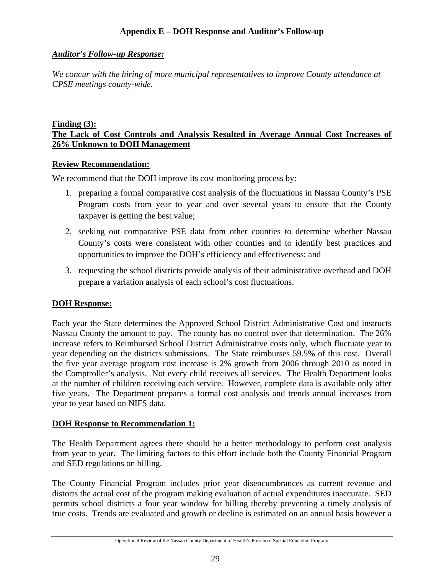## *Auditor's Follow-up Response:*

*We concur with the hiring of more municipal representatives to improve County attendance at CPSE meetings county-wide.* 

#### **Finding (3): The Lack of Cost Controls and Analysis Resulted in Average Annual Cost Increases of 26% Unknown to DOH Management**

## **Review Recommendation:**

We recommend that the DOH improve its cost monitoring process by:

- 1. preparing a formal comparative cost analysis of the fluctuations in Nassau County's PSE Program costs from year to year and over several years to ensure that the County taxpayer is getting the best value;
- 2. seeking out comparative PSE data from other counties to determine whether Nassau County's costs were consistent with other counties and to identify best practices and opportunities to improve the DOH's efficiency and effectiveness; and
- 3. requesting the school districts provide analysis of their administrative overhead and DOH prepare a variation analysis of each school's cost fluctuations.

## **DOH Response:**

Each year the State determines the Approved School District Administrative Cost and instructs Nassau County the amount to pay. The county has no control over that determination. The 26% increase refers to Reimbursed School District Administrative costs only, which fluctuate year to year depending on the districts submissions. The State reimburses 59.5% of this cost. Overall the five year average program cost increase is 2% growth from 2006 through 2010 as noted in the Comptroller's analysis. Not every child receives all services. The Health Department looks at the number of children receiving each service. However, complete data is available only after five years. The Department prepares a formal cost analysis and trends annual increases from year to year based on NIFS data.

## **DOH Response to Recommendation 1:**

The Health Department agrees there should be a better methodology to perform cost analysis from year to year. The limiting factors to this effort include both the County Financial Program and SED regulations on billing.

The County Financial Program includes prior year disencumbrances as current revenue and distorts the actual cost of the program making evaluation of actual expenditures inaccurate. SED permits school districts a four year window for billing thereby preventing a timely analysis of true costs. Trends are evaluated and growth or decline is estimated on an annual basis however a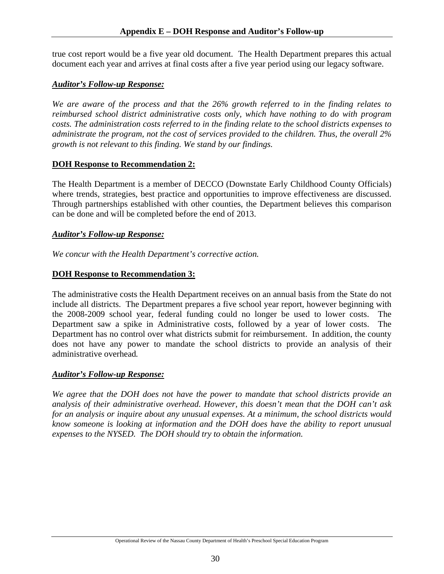true cost report would be a five year old document. The Health Department prepares this actual document each year and arrives at final costs after a five year period using our legacy software.

## *Auditor's Follow-up Response:*

*We are aware of the process and that the 26% growth referred to in the finding relates to reimbursed school district administrative costs only, which have nothing to do with program costs. The administration costs referred to in the finding relate to the school districts expenses to administrate the program, not the cost of services provided to the children. Thus, the overall 2% growth is not relevant to this finding. We stand by our findings.* 

## **DOH Response to Recommendation 2:**

The Health Department is a member of DECCO (Downstate Early Childhood County Officials) where trends, strategies, best practice and opportunities to improve effectiveness are discussed. Through partnerships established with other counties, the Department believes this comparison can be done and will be completed before the end of 2013.

## *Auditor's Follow-up Response:*

*We concur with the Health Department's corrective action.* 

## **DOH Response to Recommendation 3:**

The administrative costs the Health Department receives on an annual basis from the State do not include all districts. The Department prepares a five school year report, however beginning with the 2008-2009 school year, federal funding could no longer be used to lower costs. The Department saw a spike in Administrative costs, followed by a year of lower costs. The Department has no control over what districts submit for reimbursement. In addition, the county does not have any power to mandate the school districts to provide an analysis of their administrative overhead*.* 

## *Auditor's Follow-up Response:*

*We agree that the DOH does not have the power to mandate that school districts provide an analysis of their administrative overhead. However, this doesn't mean that the DOH can't ask for an analysis or inquire about any unusual expenses. At a minimum, the school districts would know someone is looking at information and the DOH does have the ability to report unusual expenses to the NYSED. The DOH should try to obtain the information.*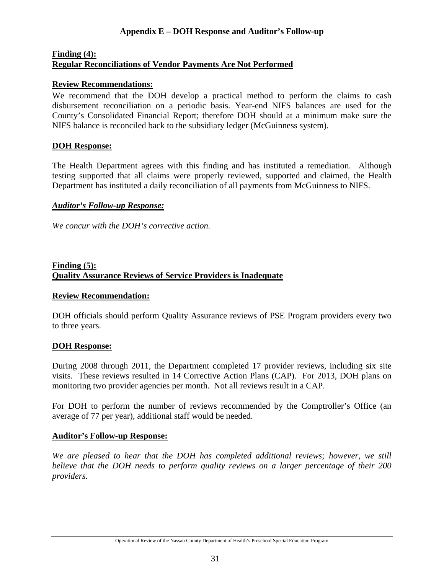#### **Finding (4): Regular Reconciliations of Vendor Payments Are Not Performed**

#### **Review Recommendations:**

We recommend that the DOH develop a practical method to perform the claims to cash disbursement reconciliation on a periodic basis. Year-end NIFS balances are used for the County's Consolidated Financial Report; therefore DOH should at a minimum make sure the NIFS balance is reconciled back to the subsidiary ledger (McGuinness system).

#### **DOH Response:**

The Health Department agrees with this finding and has instituted a remediation. Although testing supported that all claims were properly reviewed, supported and claimed, the Health Department has instituted a daily reconciliation of all payments from McGuinness to NIFS.

#### *Auditor's Follow-up Response:*

*We concur with the DOH's corrective action.* 

#### **Finding (5): Quality Assurance Reviews of Service Providers is Inadequate**

#### **Review Recommendation:**

DOH officials should perform Quality Assurance reviews of PSE Program providers every two to three years.

#### **DOH Response:**

During 2008 through 2011, the Department completed 17 provider reviews, including six site visits. These reviews resulted in 14 Corrective Action Plans (CAP). For 2013, DOH plans on monitoring two provider agencies per month. Not all reviews result in a CAP.

For DOH to perform the number of reviews recommended by the Comptroller's Office (an average of 77 per year), additional staff would be needed.

#### **Auditor's Follow-up Response:**

*We are pleased to hear that the DOH has completed additional reviews; however, we still believe that the DOH needs to perform quality reviews on a larger percentage of their 200 providers.*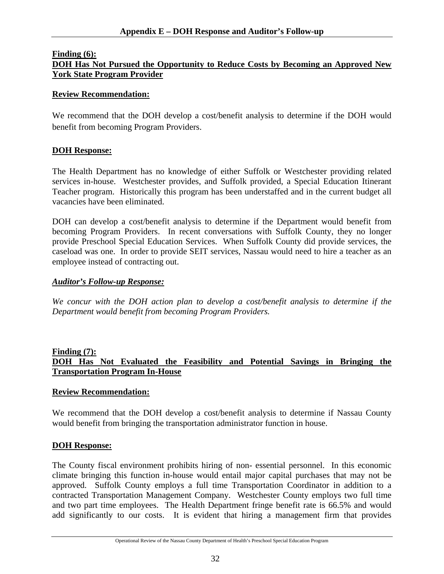#### **Finding (6):**

## **DOH Has Not Pursued the Opportunity to Reduce Costs by Becoming an Approved New York State Program Provider**

#### **Review Recommendation:**

We recommend that the DOH develop a cost/benefit analysis to determine if the DOH would benefit from becoming Program Providers.

#### **DOH Response:**

The Health Department has no knowledge of either Suffolk or Westchester providing related services in-house. Westchester provides, and Suffolk provided, a Special Education Itinerant Teacher program. Historically this program has been understaffed and in the current budget all vacancies have been eliminated.

DOH can develop a cost/benefit analysis to determine if the Department would benefit from becoming Program Providers. In recent conversations with Suffolk County, they no longer provide Preschool Special Education Services. When Suffolk County did provide services, the caseload was one. In order to provide SEIT services, Nassau would need to hire a teacher as an employee instead of contracting out.

#### *Auditor's Follow-up Response:*

*We concur with the DOH action plan to develop a cost/benefit analysis to determine if the Department would benefit from becoming Program Providers.* 

## **Finding (7): DOH Has Not Evaluated the Feasibility and Potential Savings in Bringing the Transportation Program In-House**

#### **Review Recommendation:**

We recommend that the DOH develop a cost/benefit analysis to determine if Nassau County would benefit from bringing the transportation administrator function in house.

#### **DOH Response:**

The County fiscal environment prohibits hiring of non- essential personnel. In this economic climate bringing this function in-house would entail major capital purchases that may not be approved. Suffolk County employs a full time Transportation Coordinator in addition to a contracted Transportation Management Company. Westchester County employs two full time and two part time employees. The Health Department fringe benefit rate is 66.5% and would add significantly to our costs. It is evident that hiring a management firm that provides